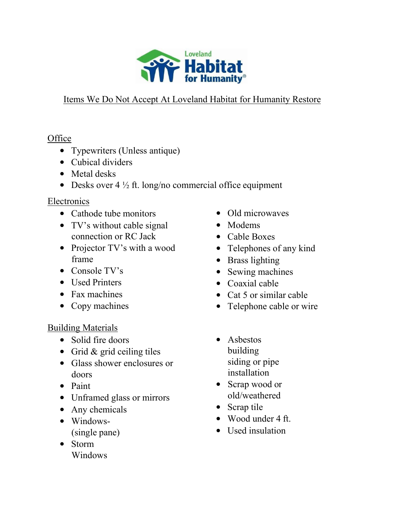

# Items We Do Not Accept At Loveland Habitat for Humanity Restore

# **Office**

- Typewriters (Unless antique)
- Cubical dividers
- Metal desks
- Desks over  $4\frac{1}{2}$  ft. long/no commercial office equipment

## Electronics

- Cathode tube monitors
- TV's without cable signal connection or RC Jack
- Projector TV's with a wood frame
- Console TV's
- Used Printers
- Fax machines
- Copy machines

### Building Materials

- Solid fire doors
- Grid & grid ceiling tiles
- Glass shower enclosures or doors
- Paint
- Unframed glass or mirrors
- Any chemicals
- Windows- (single pane)
- Storm Windows
- Old microwaves
- Modems
- Cable Boxes
- Telephones of any kind
- Brass lighting
- Sewing machines
- Coaxial cable
- Cat 5 or similar cable
- Telephone cable or wire
- Asbestos building siding or pipe installation
- Scrap wood or old/weathered
- Scrap tile
- Wood under 4 ft.
- Used insulation